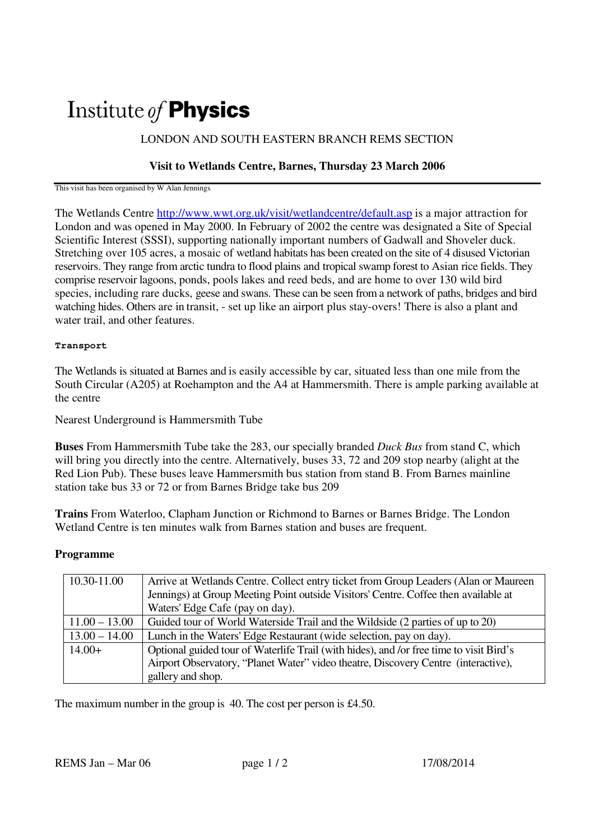# Institute of Physics

## LONDON AND SOUTH EASTERN BRANCH REMS SECTION

### **Visit to Wetlands Centre, Barnes, Thursday 23 March 2006**

This visit has been organised by W Alan Jennings

The Wetlands Centre http://www.wwt.org.uk/visit/wetlandcentre/default.asp is a major attraction for London and was opened in May 2000. In February of 2002 the centre was designated a Site of Special Scientific Interest (SSSI), supporting nationally important numbers of Gadwall and Shoveler duck. Stretching over 105 acres, a mosaic of wetland habitats has been created on the site of 4 disused Victorian reservoirs. They range from arctic tundra to flood plains and tropical swamp forest to Asian rice fields. They comprise reservoir lagoons, ponds, pools lakes and reed beds, and are home to over 130 wild bird species, including rare ducks, geese and swans. These can be seen from a network of paths, bridges and bird watching hides. Others are in transit, - set up like an airport plus stay-overs! There is also a plant and water trail, and other features.

#### **Transport**

The Wetlands is situated at Barnes and is easily accessible by car, situated less than one mile from the South Circular (A205) at Roehampton and the A4 at Hammersmith. There is ample parking available at the centre

Nearest Underground is Hammersmith Tube

**Buses** From Hammersmith Tube take the 283, our specially branded *Duck Bus* from stand C, which will bring you directly into the centre. Alternatively, buses 33, 72 and 209 stop nearby (alight at the Red Lion Pub). These buses leave Hammersmith bus station from stand B. From Barnes mainline station take bus 33 or 72 or from Barnes Bridge take bus 209

**Trains** From Waterloo, Clapham Junction or Richmond to Barnes or Barnes Bridge. The London Wetland Centre is ten minutes walk from Barnes station and buses are frequent.

#### **Programme**

| 10.30-11.00     | Arrive at Wetlands Centre. Collect entry ticket from Group Leaders (Alan or Maureen)    |
|-----------------|-----------------------------------------------------------------------------------------|
|                 | Jennings) at Group Meeting Point outside Visitors' Centre. Coffee then available at     |
|                 | Waters' Edge Cafe (pay on day).                                                         |
| $11.00 - 13.00$ | Guided tour of World Waterside Trail and the Wildside (2 parties of up to 20)           |
| $13.00 - 14.00$ | Lunch in the Waters' Edge Restaurant (wide selection, pay on day).                      |
| $14.00+$        | Optional guided tour of Waterlife Trail (with hides), and /or free time to visit Bird's |
|                 | Airport Observatory, "Planet Water" video theatre, Discovery Centre (interactive),      |
|                 | gallery and shop.                                                                       |

The maximum number in the group is 40. The cost per person is £4.50.